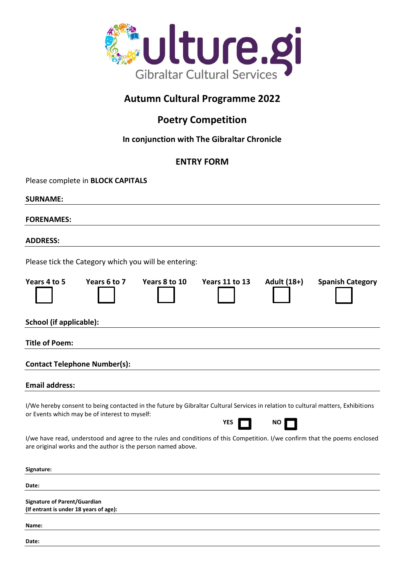

# **Autumn Cultural Programme 2022**

## **Poetry Competition**

### **In conjunction with The Gibraltar Chronicle**

### **ENTRY FORM**

| Please complete in BLOCK CAPITALS                                                                                                                                                 |              |               |                       |             |                                                                                                                            |
|-----------------------------------------------------------------------------------------------------------------------------------------------------------------------------------|--------------|---------------|-----------------------|-------------|----------------------------------------------------------------------------------------------------------------------------|
| <b>SURNAME:</b>                                                                                                                                                                   |              |               |                       |             |                                                                                                                            |
| <b>FORENAMES:</b>                                                                                                                                                                 |              |               |                       |             |                                                                                                                            |
| <b>ADDRESS:</b>                                                                                                                                                                   |              |               |                       |             |                                                                                                                            |
| Please tick the Category which you will be entering:                                                                                                                              |              |               |                       |             |                                                                                                                            |
| Years 4 to 5                                                                                                                                                                      | Years 6 to 7 | Years 8 to 10 | <b>Years 11 to 13</b> | Adult (18+) | <b>Spanish Category</b>                                                                                                    |
| <b>School (if applicable):</b>                                                                                                                                                    |              |               |                       |             |                                                                                                                            |
| <b>Title of Poem:</b>                                                                                                                                                             |              |               |                       |             |                                                                                                                            |
| <b>Contact Telephone Number(s):</b>                                                                                                                                               |              |               |                       |             |                                                                                                                            |
| <b>Email address:</b>                                                                                                                                                             |              |               |                       |             |                                                                                                                            |
| I/We hereby consent to being contacted in the future by Gibraltar Cultural Services in relation to cultural matters, Exhibitions<br>or Events which may be of interest to myself: |              |               | YES                   | NO          |                                                                                                                            |
| are original works and the author is the person named above.                                                                                                                      |              |               |                       |             | I/we have read, understood and agree to the rules and conditions of this Competition. I/we confirm that the poems enclosed |
| Signature:                                                                                                                                                                        |              |               |                       |             |                                                                                                                            |
| Date:                                                                                                                                                                             |              |               |                       |             |                                                                                                                            |
| <b>Signature of Parent/Guardian</b><br>(If entrant is under 18 years of age):                                                                                                     |              |               |                       |             |                                                                                                                            |
| Name:                                                                                                                                                                             |              |               |                       |             |                                                                                                                            |
| Date:                                                                                                                                                                             |              |               |                       |             |                                                                                                                            |